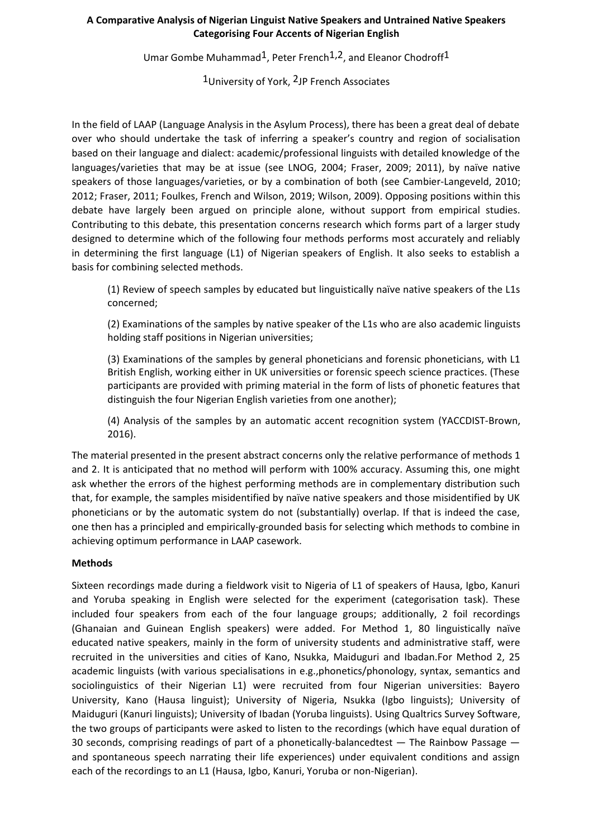# **A Comparative Analysis of Nigerian Linguist Native Speakers and Untrained Native Speakers Categorising Four Accents of Nigerian English**

Umar Gombe Muhammad<sup>1</sup>, Peter French<sup>1,2</sup>, and Eleanor Chodroff<sup>1</sup>

1 University of York, <sup>2</sup>JP French Associates

In the field of LAAP (Language Analysis in the Asylum Process), there has been a great deal of debate over who should undertake the task of inferring a speaker's country and region of socialisation based on their language and dialect: academic/professional linguists with detailed knowledge of the languages/varieties that may be at issue (see LNOG, 2004; Fraser, 2009; 2011), by naïve native speakers of those languages/varieties, or by a combination of both (see Cambier-Langeveld, 2010; 2012; Fraser, 2011; Foulkes, French and Wilson, 2019; Wilson, 2009). Opposing positions within this debate have largely been argued on principle alone, without support from empirical studies. Contributing to this debate, this presentation concerns research which forms part of a larger study designed to determine which of the following four methods performs most accurately and reliably in determining the first language (L1) of Nigerian speakers of English. It also seeks to establish a basis for combining selected methods.

(1) Review of speech samples by educated but linguistically naïve native speakers of the L1s concerned;

(2) Examinations of the samples by native speaker of the L1s who are also academic linguists holding staff positions in Nigerian universities;

(3) Examinations of the samples by general phoneticians and forensic phoneticians, with L1 British English, working either in UK universities or forensic speech science practices. (These participants are provided with priming material in the form of lists of phonetic features that distinguish the four Nigerian English varieties from one another);

(4) Analysis of the samples by an automatic accent recognition system (YACCDIST-Brown, 2016).

The material presented in the present abstract concerns only the relative performance of methods 1 and 2. It is anticipated that no method will perform with 100% accuracy. Assuming this, one might ask whether the errors of the highest performing methods are in complementary distribution such that, for example, the samples misidentified by naïve native speakers and those misidentified by UK phoneticians or by the automatic system do not (substantially) overlap. If that is indeed the case, one then has a principled and empirically-grounded basis for selecting which methods to combine in achieving optimum performance in LAAP casework.

## **Methods**

Sixteen recordings made during a fieldwork visit to Nigeria of L1 of speakers of Hausa, Igbo, Kanuri and Yoruba speaking in English were selected for the experiment (categorisation task). These included four speakers from each of the four language groups; additionally, 2 foil recordings (Ghanaian and Guinean English speakers) were added. For Method 1, 80 linguistically naïve educated native speakers, mainly in the form of university students and administrative staff, were recruited in the universities and cities of Kano, Nsukka, Maiduguri and Ibadan.For Method 2, 25 academic linguists (with various specialisations in e.g.,phonetics/phonology, syntax, semantics and sociolinguistics of their Nigerian L1) were recruited from four Nigerian universities: Bayero University, Kano (Hausa linguist); University of Nigeria, Nsukka (Igbo linguists); University of Maiduguri (Kanuri linguists); University of Ibadan (Yoruba linguists). Using Qualtrics Survey Software, the two groups of participants were asked to listen to the recordings (which have equal duration of 30 seconds, comprising readings of part of a phonetically-balancedtest — The Rainbow Passage and spontaneous speech narrating their life experiences) under equivalent conditions and assign each of the recordings to an L1 (Hausa, Igbo, Kanuri, Yoruba or non-Nigerian).